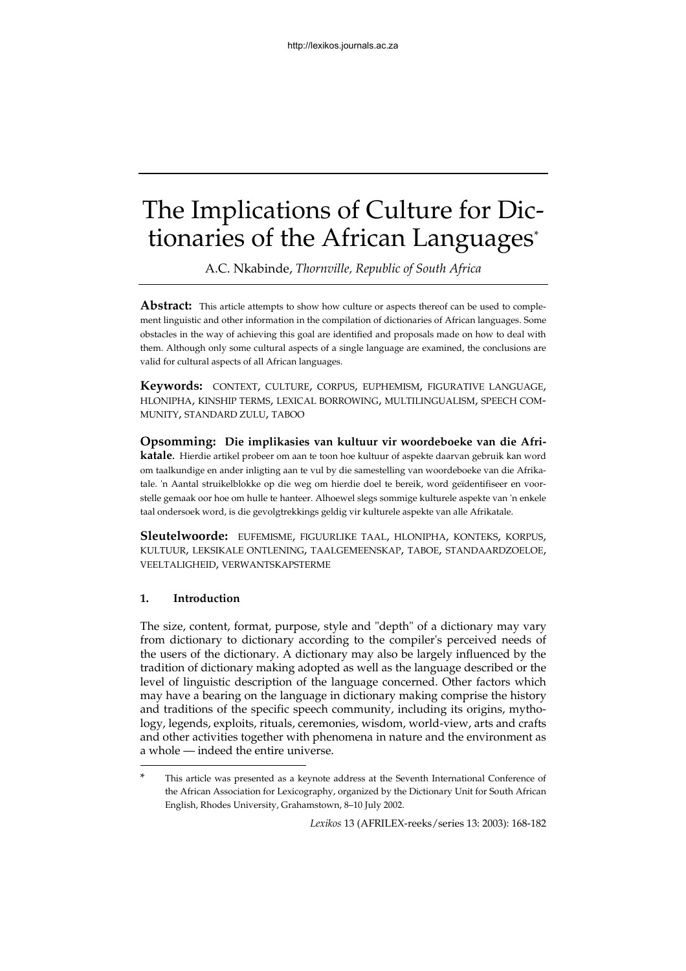# The Implications of Culture for Dictionaries of the African Language[s\\*](#page-0-0)

A.C. Nkabinde, *Thornville, Republic of South Africa*

**Abstract:** This article attempts to show how culture or aspects thereof can be used to complement linguistic and other information in the compilation of dictionaries of African languages. Some obstacles in the way of achieving this goal are identified and proposals made on how to deal with them. Although only some cultural aspects of a single language are examined, the conclusions are valid for cultural aspects of all African languages.

**Keywords:** CONTEXT, CULTURE, CORPUS, EUPHEMISM, FIGURATIVE LANGUAGE, HLONIPHA, KINSHIP TERMS, LEXICAL BORROWING, MULTILINGUALISM, SPEECH COM-MUNITY, STANDARD ZULU, TABOO

**Opsomming: Die implikasies van kultuur vir woordeboeke van die Afrikatale.** Hierdie artikel probeer om aan te toon hoe kultuur of aspekte daarvan gebruik kan word om taalkundige en ander inligting aan te vul by die samestelling van woordeboeke van die Afrikatale. 'n Aantal struikelblokke op die weg om hierdie doel te bereik, word geïdentifiseer en voorstelle gemaak oor hoe om hulle te hanteer. Alhoewel slegs sommige kulturele aspekte van 'n enkele taal ondersoek word, is die gevolgtrekkings geldig vir kulturele aspekte van alle Afrikatale.

**Sleutelwoorde:** EUFEMISME, FIGUURLIKE TAAL, HLONIPHA, KONTEKS, KORPUS, KULTUUR, LEKSIKALE ONTLENING, TAALGEMEENSKAP, TABOE, STANDAARDZOELOE, VEELTALIGHEID, VERWANTSKAPSTERME

# **1. Introduction**

l

The size, content, format, purpose, style and "depth" of a dictionary may vary from dictionary to dictionary according to the compiler's perceived needs of the users of the dictionary. A dictionary may also be largely influenced by the tradition of dictionary making adopted as well as the language described or the level of linguistic description of the language concerned. Other factors which may have a bearing on the language in dictionary making comprise the history and traditions of the specific speech community, including its origins, mythology, legends, exploits, rituals, ceremonies, wisdom, world-view, arts and crafts and other activities together with phenomena in nature and the environment as a whole — indeed the entire universe.

<span id="page-0-0"></span>This article was presented as a keynote address at the Seventh International Conference of the African Association for Lexicography, organized by the Dictionary Unit for South African English, Rhodes University, Grahamstown, 8–10 July 2002.

*Lexikos* 13 (AFRILEX-reeks/series 13: 2003): 168-182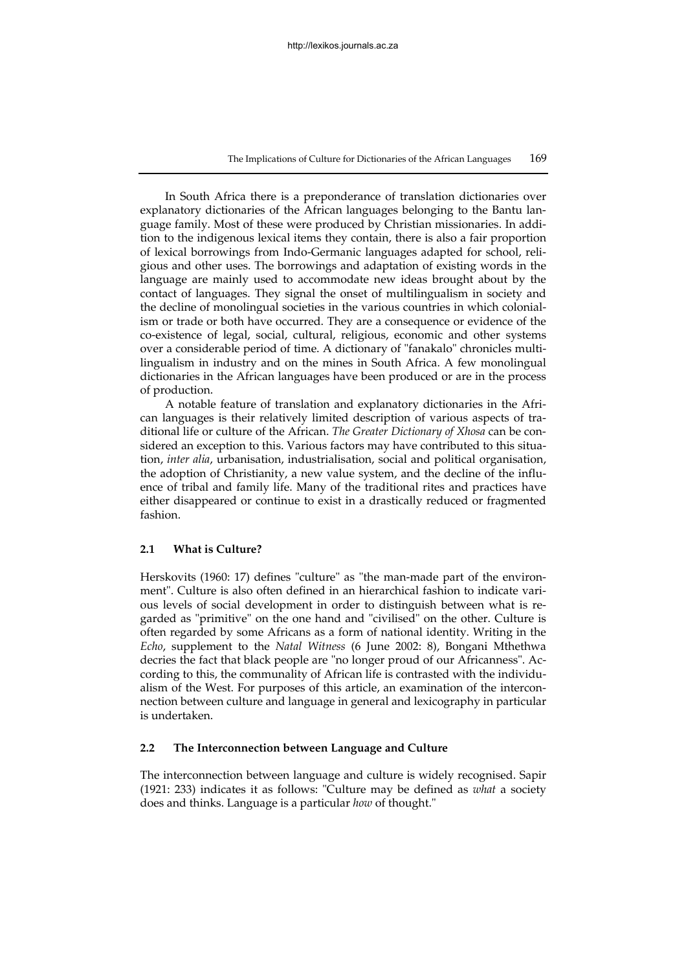The Implications of Culture for Dictionaries of the African Languages 169

In South Africa there is a preponderance of translation dictionaries over explanatory dictionaries of the African languages belonging to the Bantu language family. Most of these were produced by Christian missionaries. In addition to the indigenous lexical items they contain, there is also a fair proportion of lexical borrowings from Indo-Germanic languages adapted for school, religious and other uses. The borrowings and adaptation of existing words in the language are mainly used to accommodate new ideas brought about by the contact of languages. They signal the onset of multilingualism in society and the decline of monolingual societies in the various countries in which colonialism or trade or both have occurred. They are a consequence or evidence of the co-existence of legal, social, cultural, religious, economic and other systems over a considerable period of time. A dictionary of "fanakalo" chronicles multilingualism in industry and on the mines in South Africa. A few monolingual dictionaries in the African languages have been produced or are in the process of production.

A notable feature of translation and explanatory dictionaries in the African languages is their relatively limited description of various aspects of traditional life or culture of the African. *The Greater Dictionary of Xhosa* can be considered an exception to this. Various factors may have contributed to this situation, *inter alia*, urbanisation, industrialisation, social and political organisation, the adoption of Christianity, a new value system, and the decline of the influence of tribal and family life. Many of the traditional rites and practices have either disappeared or continue to exist in a drastically reduced or fragmented fashion.

# **2.1 What is Culture?**

Herskovits (1960: 17) defines "culture" as "the man-made part of the environment". Culture is also often defined in an hierarchical fashion to indicate various levels of social development in order to distinguish between what is regarded as "primitive" on the one hand and "civilised" on the other. Culture is often regarded by some Africans as a form of national identity. Writing in the *Echo*, supplement to the *Natal Witness* (6 June 2002: 8), Bongani Mthethwa decries the fact that black people are "no longer proud of our Africanness". According to this, the communality of African life is contrasted with the individualism of the West. For purposes of this article, an examination of the interconnection between culture and language in general and lexicography in particular is undertaken.

## **2.2 The Interconnection between Language and Culture**

The interconnection between language and culture is widely recognised. Sapir (1921: 233) indicates it as follows: "Culture may be defined as *what* a society does and thinks. Language is a particular *how* of thought."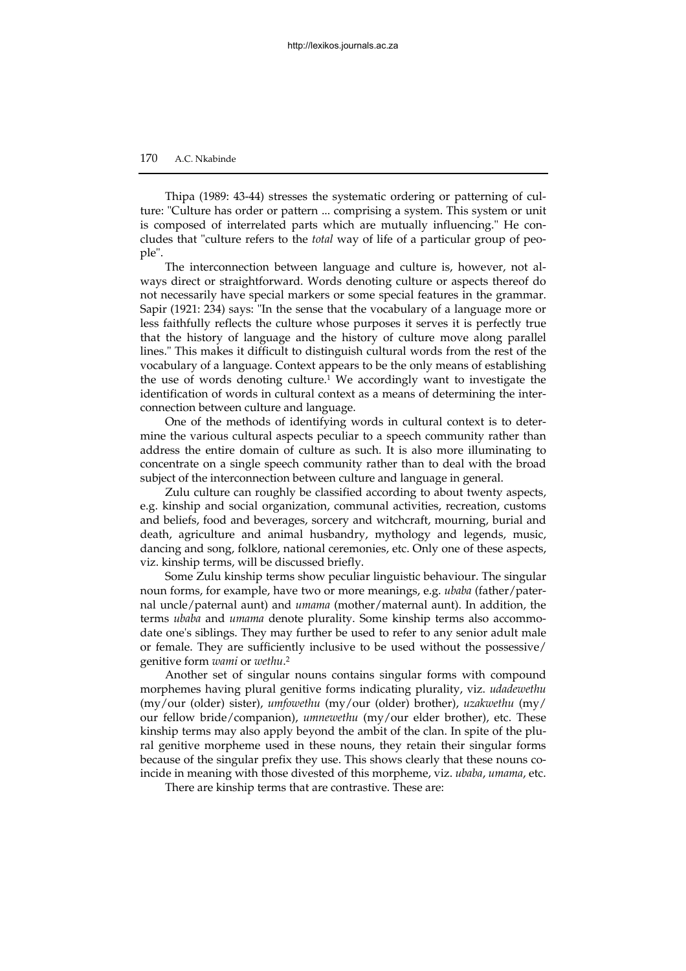Thipa (1989: 43-44) stresses the systematic ordering or patterning of culture: "Culture has order or pattern ... comprising a system. This system or unit is composed of interrelated parts which are mutually influencing." He concludes that "culture refers to the *total* way of life of a particular group of people".

The interconnection between language and culture is, however, not always direct or straightforward. Words denoting culture or aspects thereof do not necessarily have special markers or some special features in the grammar. Sapir (1921: 234) says: "In the sense that the vocabulary of a language more or less faithfully reflects the culture whose purposes it serves it is perfectly true that the history of language and the history of culture move along parallel lines." This makes it difficult to distinguish cultural words from the rest of the vocabulary of a language. Context appears to be the only means of establishing the use of words denoting culture.1 We accordingly want to investigate the identification of words in cultural context as a means of determining the interconnection between culture and language.

One of the methods of identifying words in cultural context is to determine the various cultural aspects peculiar to a speech community rather than address the entire domain of culture as such. It is also more illuminating to concentrate on a single speech community rather than to deal with the broad subject of the interconnection between culture and language in general.

Zulu culture can roughly be classified according to about twenty aspects, e.g. kinship and social organization, communal activities, recreation, customs and beliefs, food and beverages, sorcery and witchcraft, mourning, burial and death, agriculture and animal husbandry, mythology and legends, music, dancing and song, folklore, national ceremonies, etc. Only one of these aspects, viz. kinship terms, will be discussed briefly.

Some Zulu kinship terms show peculiar linguistic behaviour. The singular noun forms, for example, have two or more meanings, e.g. *ubaba* (father/paternal uncle/paternal aunt) and *umama* (mother/maternal aunt). In addition, the terms *ubaba* and *umama* denote plurality. Some kinship terms also accommodate one's siblings. They may further be used to refer to any senior adult male or female. They are sufficiently inclusive to be used without the possessive/ genitive form *wami* or *wethu*. 2

Another set of singular nouns contains singular forms with compound morphemes having plural genitive forms indicating plurality, viz. *udadewethu* (my/our (older) sister), *umfowethu* (my/our (older) brother), *uzakwethu* (my/ our fellow bride/companion), *umnewethu* (my/our elder brother), etc. These kinship terms may also apply beyond the ambit of the clan. In spite of the plural genitive morpheme used in these nouns, they retain their singular forms because of the singular prefix they use. This shows clearly that these nouns coincide in meaning with those divested of this morpheme, viz. *ubaba*, *umama*, etc.

There are kinship terms that are contrastive. These are: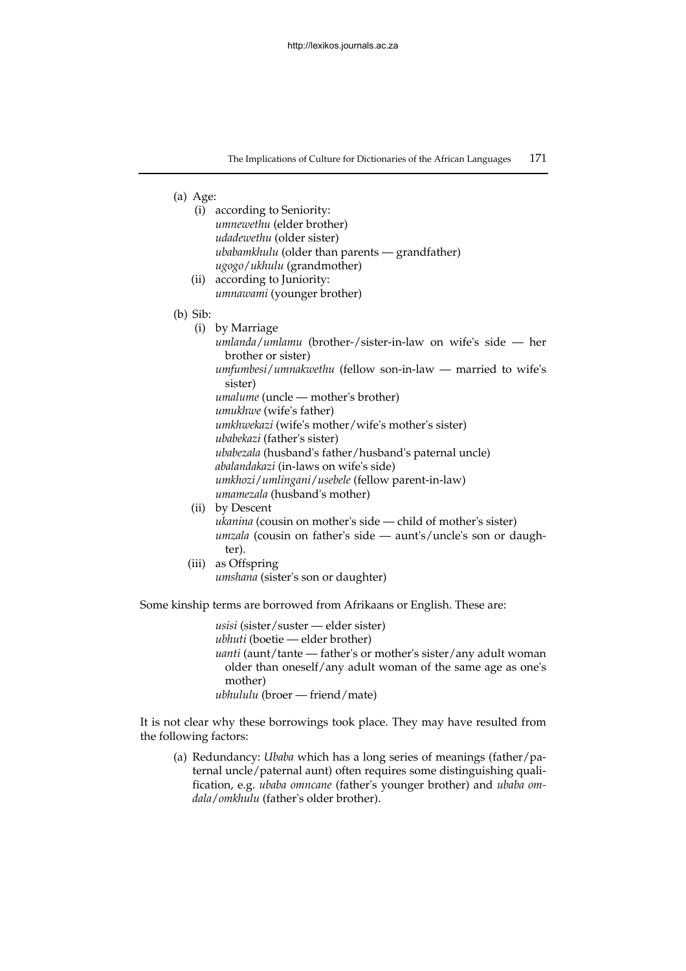# (a) Age:

- (i) according to Seniority: *umnewethu* (elder brother) *udadewethu* (older sister) *ubabamkhulu* (older than parents — grandfather) *ugogo*/*ukhulu* (grandmother) (ii) according to Juniority:
	- *umnawami* (younger brother)

# (b) Sib:

- (i) by Marriage
	- *umlanda*/*umlamu* (brother-/sister-in-law on wife's side her brother or sister) *umfumbesi*/*umnakwethu* (fellow son-in-law — married to wife's
		- sister)

*umalume* (uncle — mother's brother)

- *umukhwe* (wife's father)
- *umkhwekazi* (wife's mother/wife's mother's sister)
- *ubabekazi* (father's sister)

 *ubabezala* (husband's father/husband's paternal uncle) *abalandakazi* (in-laws on wife's side)

*umkhozi*/*umlingani*/*usebele* (fellow parent-in-law)

- *umamezala* (husband's mother) (ii) by Descent *ukanina* (cousin on mother's side — child of mother's sister) *umzala* (cousin on father's side — aunt's/uncle's son or daughter).
- (iii) as Offspring *umshana* (sister's son or daughter)

Some kinship terms are borrowed from Afrikaans or English. These are:

 *usisi* (sister/suster — elder sister) *ubhuti* (boetie — elder brother) *uanti* (aunt/tante — father's or mother's sister/any adult woman older than oneself/any adult woman of the same age as one's mother) *ubhululu* (broer — friend/mate)

It is not clear why these borrowings took place. They may have resulted from the following factors:

 (a) Redundancy: *Ubaba* which has a long series of meanings (father/paternal uncle/paternal aunt) often requires some distinguishing qualification, e.g. *ubaba omncane* (father's younger brother) and *ubaba omdala*/*omkhulu* (father's older brother).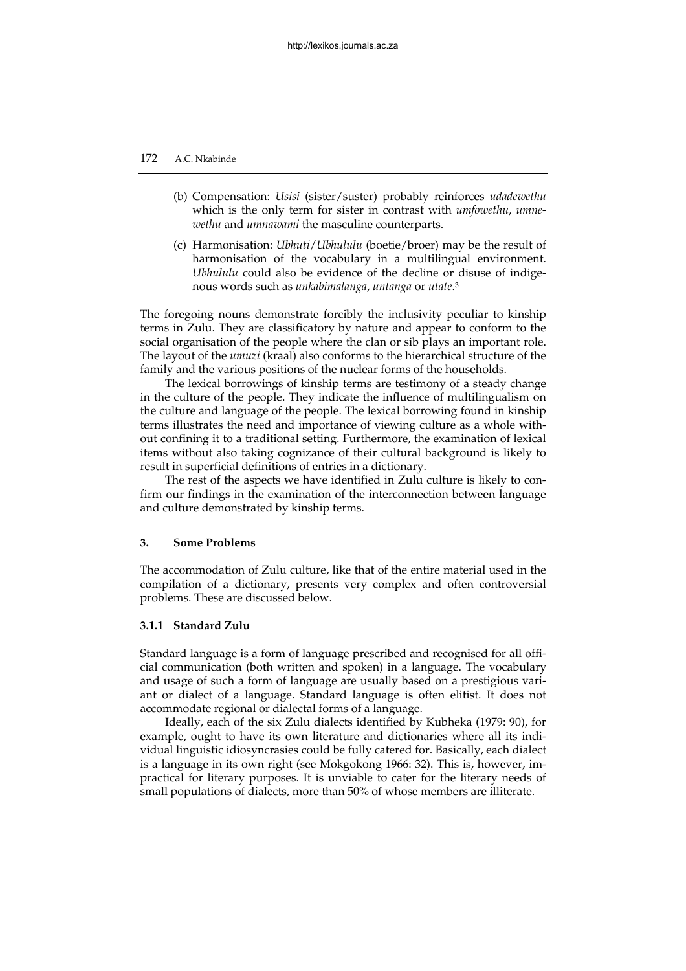- (b) Compensation: *Usisi* (sister/suster) probably reinforces *udadewethu* which is the only term for sister in contrast with *umfowethu*, *umnewethu* and *umnawami* the masculine counterparts.
- (c) Harmonisation: *Ubhuti*/*Ubhululu* (boetie/broer) may be the result of harmonisation of the vocabulary in a multilingual environment. *Ubhululu* could also be evidence of the decline or disuse of indigenous words such as *unkabimalanga*, *untanga* or *utate*. 3

The foregoing nouns demonstrate forcibly the inclusivity peculiar to kinship terms in Zulu. They are classificatory by nature and appear to conform to the social organisation of the people where the clan or sib plays an important role. The layout of the *umuzi* (kraal) also conforms to the hierarchical structure of the family and the various positions of the nuclear forms of the households.

The lexical borrowings of kinship terms are testimony of a steady change in the culture of the people. They indicate the influence of multilingualism on the culture and language of the people. The lexical borrowing found in kinship terms illustrates the need and importance of viewing culture as a whole without confining it to a traditional setting. Furthermore, the examination of lexical items without also taking cognizance of their cultural background is likely to result in superficial definitions of entries in a dictionary.

The rest of the aspects we have identified in Zulu culture is likely to confirm our findings in the examination of the interconnection between language and culture demonstrated by kinship terms.

#### **3. Some Problems**

The accommodation of Zulu culture, like that of the entire material used in the compilation of a dictionary, presents very complex and often controversial problems. These are discussed below.

# **3.1.1 Standard Zulu**

Standard language is a form of language prescribed and recognised for all official communication (both written and spoken) in a language. The vocabulary and usage of such a form of language are usually based on a prestigious variant or dialect of a language. Standard language is often elitist. It does not accommodate regional or dialectal forms of a language.

Ideally, each of the six Zulu dialects identified by Kubheka (1979: 90), for example, ought to have its own literature and dictionaries where all its individual linguistic idiosyncrasies could be fully catered for. Basically, each dialect is a language in its own right (see Mokgokong 1966: 32). This is, however, impractical for literary purposes. It is unviable to cater for the literary needs of small populations of dialects, more than 50% of whose members are illiterate.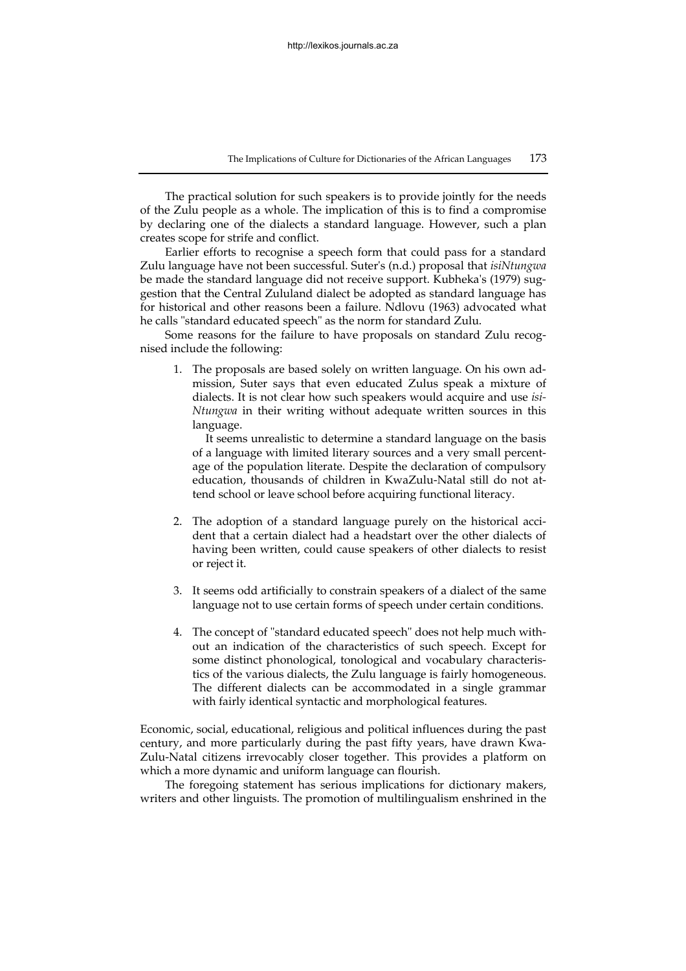The practical solution for such speakers is to provide jointly for the needs of the Zulu people as a whole. The implication of this is to find a compromise by declaring one of the dialects a standard language. However, such a plan creates scope for strife and conflict.

Earlier efforts to recognise a speech form that could pass for a standard Zulu language have not been successful. Suter's (n.d.) proposal that *isiNtungwa* be made the standard language did not receive support. Kubheka's (1979) suggestion that the Central Zululand dialect be adopted as standard language has for historical and other reasons been a failure. Ndlovu (1963) advocated what he calls "standard educated speech" as the norm for standard Zulu.

Some reasons for the failure to have proposals on standard Zulu recognised include the following:

 1. The proposals are based solely on written language. On his own admission, Suter says that even educated Zulus speak a mixture of dialects. It is not clear how such speakers would acquire and use *isi-Ntungwa* in their writing without adequate written sources in this language.

 It seems unrealistic to determine a standard language on the basis of a language with limited literary sources and a very small percentage of the population literate. Despite the declaration of compulsory education, thousands of children in KwaZulu-Natal still do not attend school or leave school before acquiring functional literacy.

- 2. The adoption of a standard language purely on the historical accident that a certain dialect had a headstart over the other dialects of having been written, could cause speakers of other dialects to resist or reject it.
- 3. It seems odd artificially to constrain speakers of a dialect of the same language not to use certain forms of speech under certain conditions.
- 4. The concept of "standard educated speech" does not help much without an indication of the characteristics of such speech. Except for some distinct phonological, tonological and vocabulary characteristics of the various dialects, the Zulu language is fairly homogeneous. The different dialects can be accommodated in a single grammar with fairly identical syntactic and morphological features.

Economic, social, educational, religious and political influences during the past century, and more particularly during the past fifty years, have drawn Kwa-Zulu-Natal citizens irrevocably closer together. This provides a platform on which a more dynamic and uniform language can flourish.

The foregoing statement has serious implications for dictionary makers, writers and other linguists. The promotion of multilingualism enshrined in the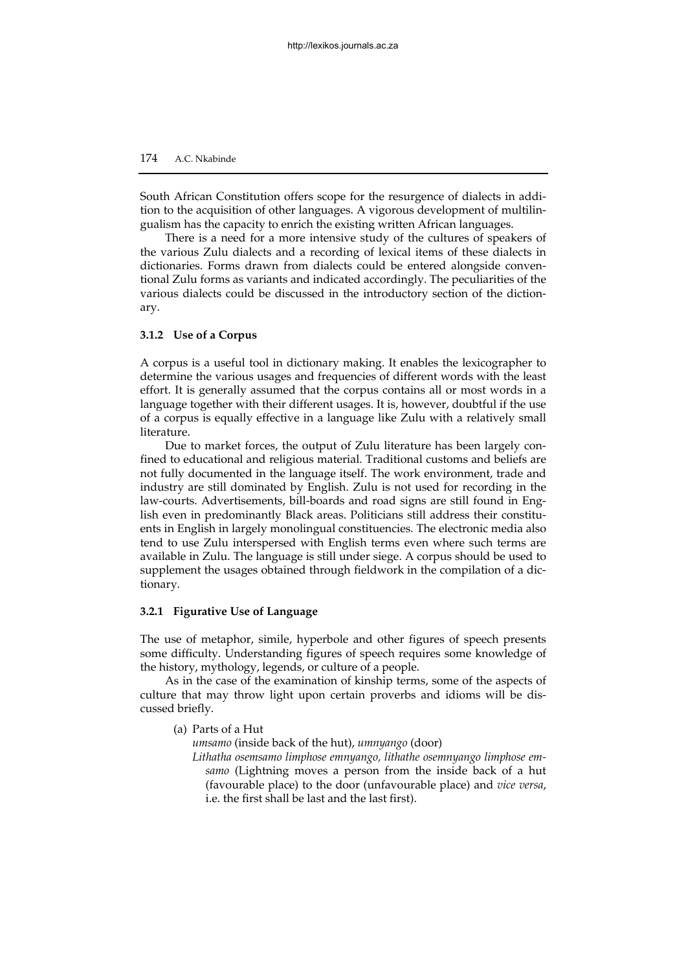South African Constitution offers scope for the resurgence of dialects in addition to the acquisition of other languages. A vigorous development of multilingualism has the capacity to enrich the existing written African languages.

There is a need for a more intensive study of the cultures of speakers of the various Zulu dialects and a recording of lexical items of these dialects in dictionaries. Forms drawn from dialects could be entered alongside conventional Zulu forms as variants and indicated accordingly. The peculiarities of the various dialects could be discussed in the introductory section of the dictionary.

## **3.1.2 Use of a Corpus**

A corpus is a useful tool in dictionary making. It enables the lexicographer to determine the various usages and frequencies of different words with the least effort. It is generally assumed that the corpus contains all or most words in a language together with their different usages. It is, however, doubtful if the use of a corpus is equally effective in a language like Zulu with a relatively small literature.

Due to market forces, the output of Zulu literature has been largely confined to educational and religious material. Traditional customs and beliefs are not fully documented in the language itself. The work environment, trade and industry are still dominated by English. Zulu is not used for recording in the law-courts. Advertisements, bill-boards and road signs are still found in English even in predominantly Black areas. Politicians still address their constituents in English in largely monolingual constituencies. The electronic media also tend to use Zulu interspersed with English terms even where such terms are available in Zulu. The language is still under siege. A corpus should be used to supplement the usages obtained through fieldwork in the compilation of a dictionary.

# **3.2.1 Figurative Use of Language**

The use of metaphor, simile, hyperbole and other figures of speech presents some difficulty. Understanding figures of speech requires some knowledge of the history, mythology, legends, or culture of a people.

As in the case of the examination of kinship terms, some of the aspects of culture that may throw light upon certain proverbs and idioms will be discussed briefly.

(a) Parts of a Hut

 *umsamo* (inside back of the hut), *umnyango* (door)

 *Lithatha osemsamo limphose emnyango, lithathe osemnyango limphose emsamo* (Lightning moves a person from the inside back of a hut (favourable place) to the door (unfavourable place) and *vice versa*, i.e. the first shall be last and the last first).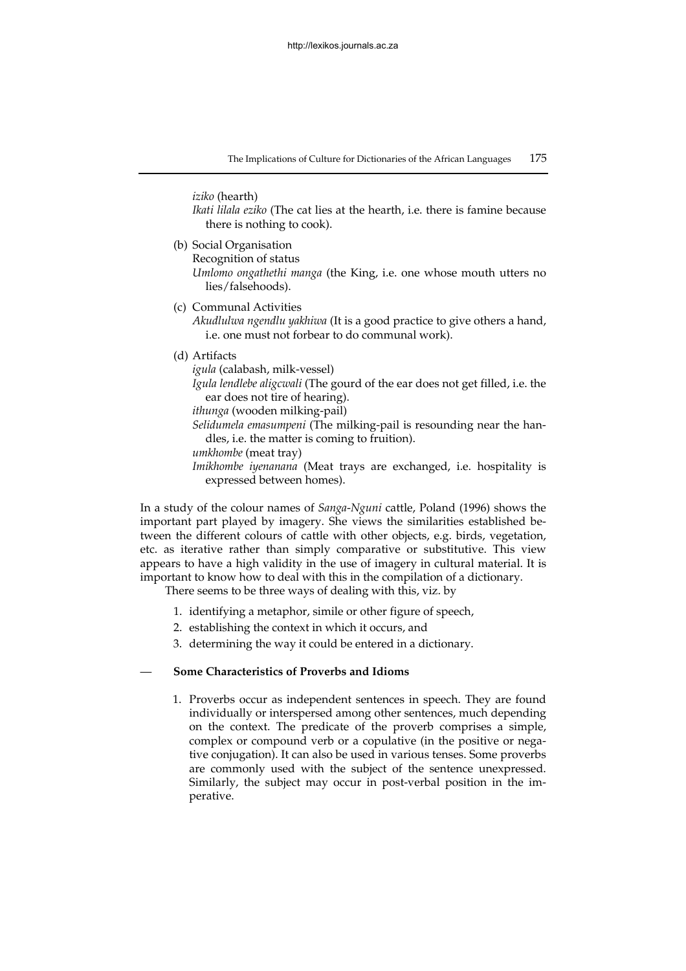#### *iziko* (hearth)

 *Ikati lilala eziko* (The cat lies at the hearth, i.e. there is famine because there is nothing to cook).

- (b) Social Organisation
	- Recognition of status

 *Umlomo ongathethi manga* (the King, i.e. one whose mouth utters no lies/falsehoods).

(c) Communal Activities

 *Akudlulwa ngendlu yakhiwa* (It is a good practice to give others a hand, i.e. one must not forbear to do communal work).

(d) Artifacts

*igula* (calabash, milk-vessel)

 *Igula lendlebe aligcwali* (The gourd of the ear does not get filled, i.e. the ear does not tire of hearing).

*ithunga* (wooden milking-pail)

 *Selidumela emasumpeni* (The milking-pail is resounding near the handles, i.e. the matter is coming to fruition).

*umkhombe* (meat tray)

 *Imikhombe iyenanana* (Meat trays are exchanged, i.e. hospitality is expressed between homes).

In a study of the colour names of *Sanga*-*Nguni* cattle, Poland (1996) shows the important part played by imagery. She views the similarities established between the different colours of cattle with other objects, e.g. birds, vegetation, etc. as iterative rather than simply comparative or substitutive. This view appears to have a high validity in the use of imagery in cultural material. It is important to know how to deal with this in the compilation of a dictionary.

There seems to be three ways of dealing with this, viz. by

- 1. identifying a metaphor, simile or other figure of speech,
- 2. establishing the context in which it occurs, and
- 3. determining the way it could be entered in a dictionary.

— **Some Characteristics of Proverbs and Idioms**

 1. Proverbs occur as independent sentences in speech. They are found individually or interspersed among other sentences, much depending on the context. The predicate of the proverb comprises a simple, complex or compound verb or a copulative (in the positive or negative conjugation). It can also be used in various tenses. Some proverbs are commonly used with the subject of the sentence unexpressed. Similarly, the subject may occur in post-verbal position in the imperative.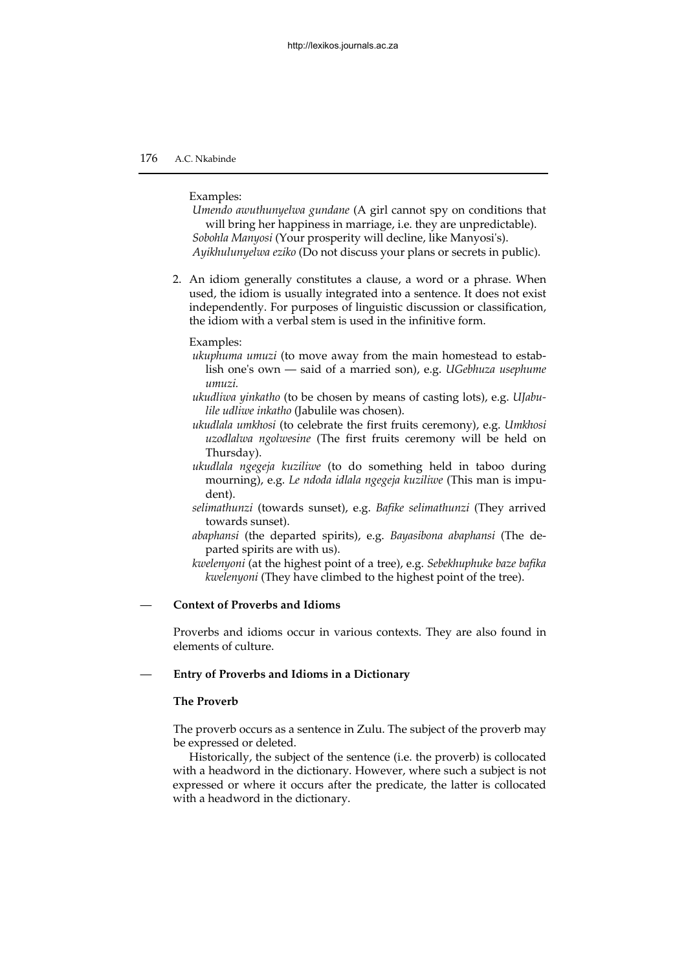# Examples:

 *Umendo awuthunyelwa gundane* (A girl cannot spy on conditions that will bring her happiness in marriage, i.e. they are unpredictable).  *Sobohla Manyosi* (Your prosperity will decline, like Manyosi's).  *Ayikhulunyelwa eziko* (Do not discuss your plans or secrets in public).

 2. An idiom generally constitutes a clause, a word or a phrase. When used, the idiom is usually integrated into a sentence. It does not exist independently. For purposes of linguistic discussion or classification, the idiom with a verbal stem is used in the infinitive form.

#### Examples:

- *ukuphuma umuzi* (to move away from the main homestead to establish one's own — said of a married son), e.g. *UGebhuza usephume umuzi.*
- *ukudliwa yinkatho* (to be chosen by means of casting lots), e.g. *UJabulile udliwe inkatho* (Jabulile was chosen).
- *ukudlala umkhosi* (to celebrate the first fruits ceremony), e.g. *Umkhosi uzodlalwa ngolwesine* (The first fruits ceremony will be held on Thursday).
- *ukudlala ngegeja kuziliwe* (to do something held in taboo during mourning), e.g. *Le ndoda idlala ngegeja kuziliwe* (This man is impudent).
- *selimathunzi* (towards sunset), e.g. *Bafike selimathunzi* (They arrived towards sunset).
- *abaphansi* (the departed spirits), e.g. *Bayasibona abaphansi* (The departed spirits are with us).
- *kwelenyoni* (at the highest point of a tree), e.g. *Sebekhuphuke baze bafika kwelenyoni* (They have climbed to the highest point of the tree).

#### — **Context of Proverbs and Idioms**

 Proverbs and idioms occur in various contexts. They are also found in elements of culture.

#### — **Entry of Proverbs and Idioms in a Dictionary**

## **The Proverb**

 The proverb occurs as a sentence in Zulu. The subject of the proverb may be expressed or deleted.

 Historically, the subject of the sentence (i.e. the proverb) is collocated with a headword in the dictionary. However, where such a subject is not expressed or where it occurs after the predicate, the latter is collocated with a headword in the dictionary.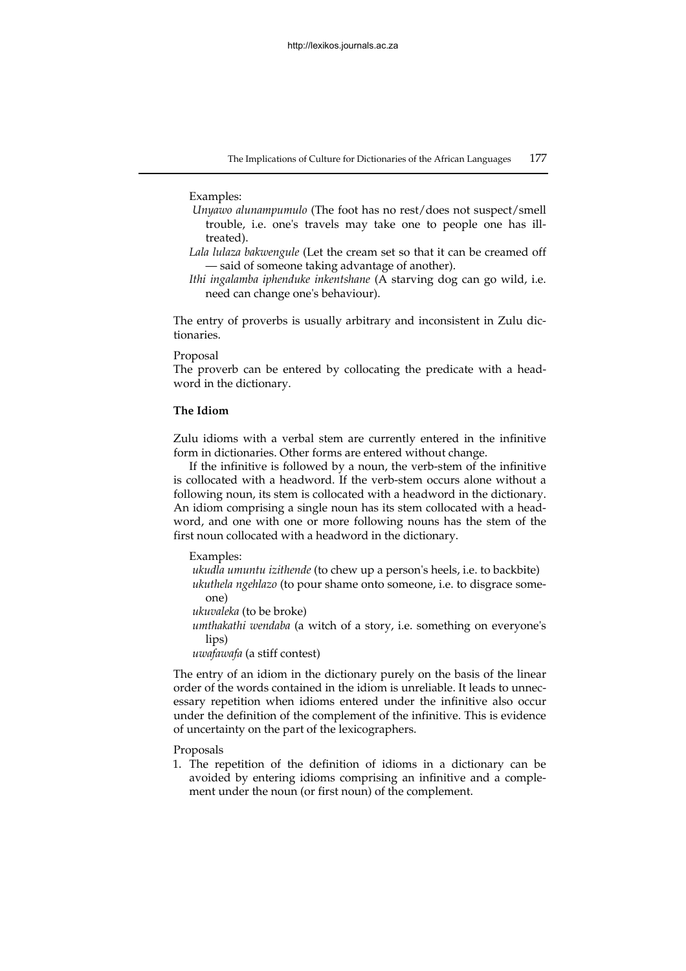#### Examples:

- *Unyawo alunampumulo* (The foot has no rest/does not suspect/smell trouble, i.e. one's travels may take one to people one has illtreated).
- *Lala lulaza bakwengule* (Let the cream set so that it can be creamed off — said of someone taking advantage of another).
- *Ithi ingalamba iphenduke inkentshane* (A starving dog can go wild, i.e. need can change one's behaviour).

 The entry of proverbs is usually arbitrary and inconsistent in Zulu dictionaries.

#### Proposal

 The proverb can be entered by collocating the predicate with a headword in the dictionary.

# **The Idiom**

 Zulu idioms with a verbal stem are currently entered in the infinitive form in dictionaries. Other forms are entered without change.

 If the infinitive is followed by a noun, the verb-stem of the infinitive is collocated with a headword. If the verb-stem occurs alone without a following noun, its stem is collocated with a headword in the dictionary. An idiom comprising a single noun has its stem collocated with a headword, and one with one or more following nouns has the stem of the first noun collocated with a headword in the dictionary.

#### Examples:

- *ukudla umuntu izithende* (to chew up a person's heels, i.e. to backbite) *ukuthela ngehlazo* (to pour shame onto someone, i.e. to disgrace someone)
- *ukuvaleka* (to be broke)
- *umthakathi wendaba* (a witch of a story, i.e. something on everyone's lips)

*uwafawafa* (a stiff contest)

 The entry of an idiom in the dictionary purely on the basis of the linear order of the words contained in the idiom is unreliable. It leads to unnecessary repetition when idioms entered under the infinitive also occur under the definition of the complement of the infinitive. This is evidence of uncertainty on the part of the lexicographers.

#### Proposals

 1. The repetition of the definition of idioms in a dictionary can be avoided by entering idioms comprising an infinitive and a complement under the noun (or first noun) of the complement.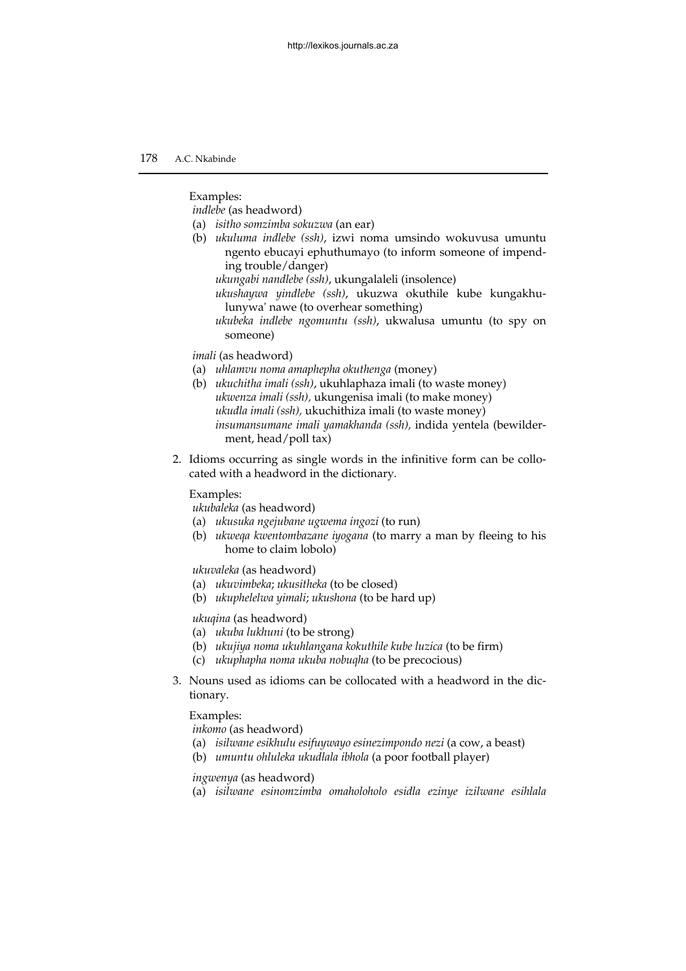# Examples:

*indlebe* (as headword)

- (a) *isitho somzimba sokuzwa* (an ear)
- (b) *ukuluma indlebe (ssh)*, izwi noma umsindo wokuvusa umuntu ngento ebucayi ephuthumayo (to inform someone of impending trouble/danger)
	- *ukungabi nandlebe (ssh)*, ukungalaleli (insolence)
	- *ukushaywa yindlebe (ssh)*, ukuzwa okuthile kube kungakhulunywa' nawe (to overhear something)
	- *ukubeka indlebe ngomuntu (ssh)*, ukwalusa umuntu (to spy on someone)

#### *imali* (as headword)

- (a) *uhlamvu noma amaphepha okuthenga* (money)
- (b) *ukuchitha imali (ssh)*, ukuhlaphaza imali (to waste money) *ukwenza imali (ssh),* ukungenisa imali (to make money) *ukudla imali (ssh),* ukuchithiza imali (to waste money) *insumansumane imali yamakhanda (ssh),* indida yentela (bewilderment, head/poll tax)
- 2. Idioms occurring as single words in the infinitive form can be collocated with a headword in the dictionary.

#### Examples:

*ukubaleka* (as headword)

- (a) *ukusuka ngejubane ugwema ingozi* (to run)
- (b) *ukweqa kwentombazane iyogana* (to marry a man by fleeing to his home to claim lobolo)

*ukuvaleka* (as headword)

- (a) *ukuvimbeka*; *ukusitheka* (to be closed)
- (b) *ukuphelelwa yimali*; *ukushona* (to be hard up)

*ukuqina* (as headword)

- (a) *ukuba lukhuni* (to be strong)
- (b) *ukujiya noma ukuhlangana kokuthile kube luzica* (to be firm)
- (c) *ukuphapha noma ukuba nobuqha* (to be precocious)
- 3. Nouns used as idioms can be collocated with a headword in the dictionary.

# Examples:

*inkomo* (as headword)

- (a) *isilwane esikhulu esifuywayo esinezimpondo nezi* (a cow, a beast)
- (b) *umuntu ohluleka ukudlala ibhola* (a poor football player)

*ingwenya* (as headword)

(a) *isilwane esinomzimba omaholoholo esidla ezinye izilwane esihlala*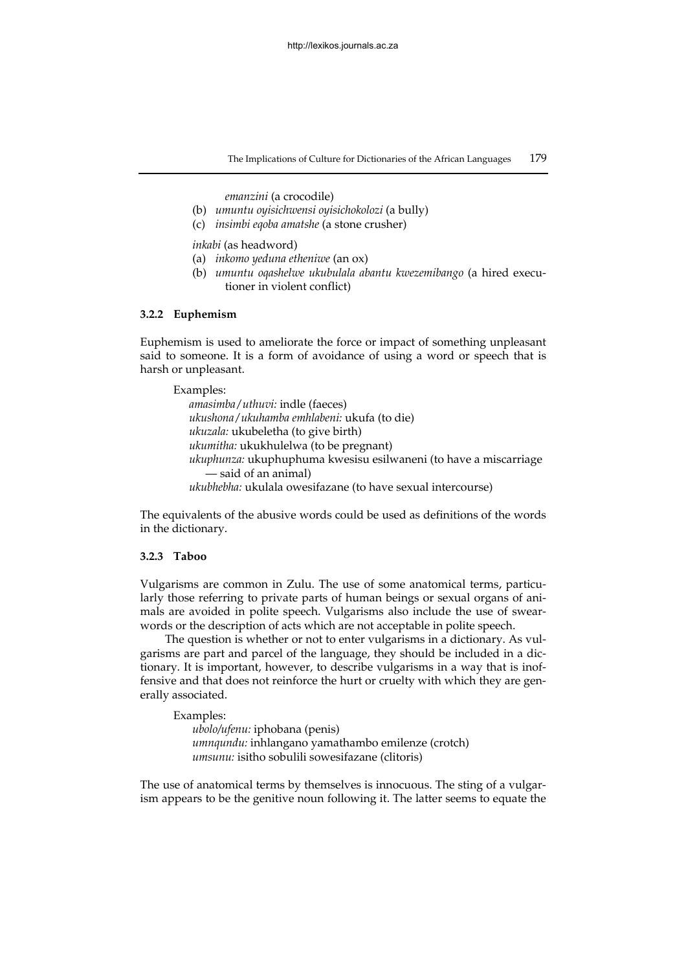*emanzini* (a crocodile)

- (b) *umuntu oyisichwensi oyisichokolozi* (a bully)
- (c) *insimbi eqoba amatshe* (a stone crusher)

*inkabi* (as headword)

- (a) *inkomo yeduna etheniwe* (an ox)
- (b) *umuntu oqashelwe ukubulala abantu kwezemibango* (a hired executioner in violent conflict)

# **3.2.2 Euphemism**

Euphemism is used to ameliorate the force or impact of something unpleasant said to someone. It is a form of avoidance of using a word or speech that is harsh or unpleasant.

Examples:

 *amasimba*/*uthuvi:* indle (faeces) *ukushona*/*ukuhamba emhlabeni:* ukufa (to die) *ukuzala:* ukubeletha (to give birth) *ukumitha:* ukukhulelwa (to be pregnant) *ukuphunza:* ukuphuphuma kwesisu esilwaneni (to have a miscarriage — said of an animal)  *ukubhebha:* ukulala owesifazane (to have sexual intercourse)

The equivalents of the abusive words could be used as definitions of the words in the dictionary.

#### **3.2.3 Taboo**

Vulgarisms are common in Zulu. The use of some anatomical terms, particularly those referring to private parts of human beings or sexual organs of animals are avoided in polite speech. Vulgarisms also include the use of swearwords or the description of acts which are not acceptable in polite speech.

The question is whether or not to enter vulgarisms in a dictionary. As vulgarisms are part and parcel of the language, they should be included in a dictionary. It is important, however, to describe vulgarisms in a way that is inoffensive and that does not reinforce the hurt or cruelty with which they are generally associated.

 Examples: *ubolo/ufenu:* iphobana (penis) *umnqundu:* inhlangano yamathambo emilenze (crotch) *umsunu:* isitho sobulili sowesifazane (clitoris)

The use of anatomical terms by themselves is innocuous. The sting of a vulgarism appears to be the genitive noun following it. The latter seems to equate the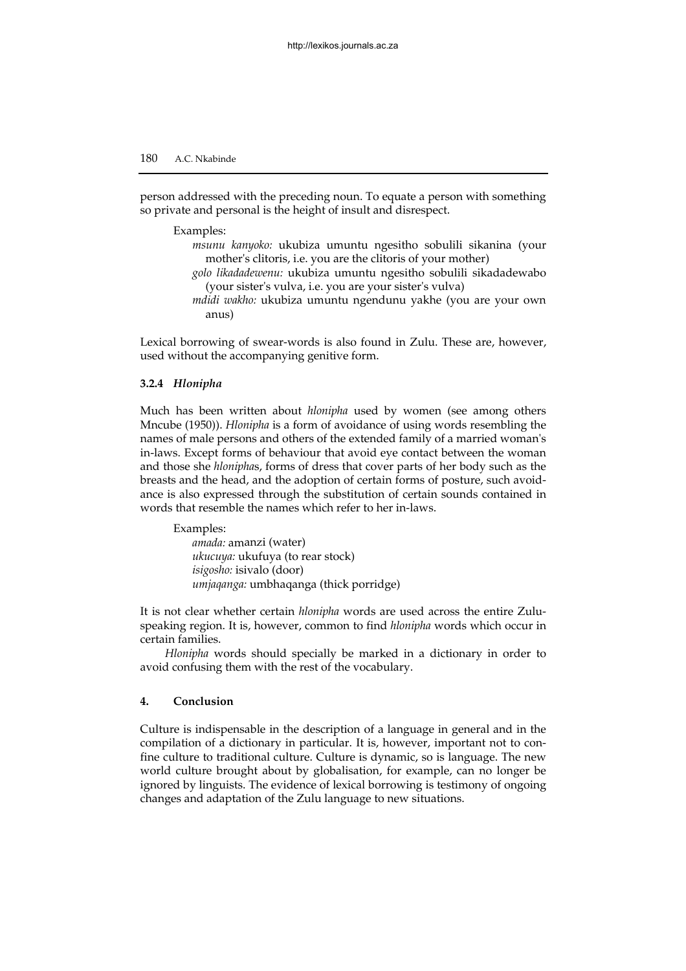person addressed with the preceding noun. To equate a person with something so private and personal is the height of insult and disrespect.

#### Examples:

- *msunu kanyoko:* ukubiza umuntu ngesitho sobulili sikanina (your mother's clitoris, i.e. you are the clitoris of your mother)
- *golo likadadewenu:* ukubiza umuntu ngesitho sobulili sikadadewabo (your sister's vulva, i.e. you are your sister's vulva)
- *mdidi wakho:* ukubiza umuntu ngendunu yakhe (you are your own anus)

Lexical borrowing of swear-words is also found in Zulu. These are, however, used without the accompanying genitive form.

## **3.2.4** *Hlonipha*

Much has been written about *hlonipha* used by women (see among others Mncube (1950)). *Hlonipha* is a form of avoidance of using words resembling the names of male persons and others of the extended family of a married woman's in-laws. Except forms of behaviour that avoid eye contact between the woman and those she *hlonipha*s, forms of dress that cover parts of her body such as the breasts and the head, and the adoption of certain forms of posture, such avoidance is also expressed through the substitution of certain sounds contained in words that resemble the names which refer to her in-laws.

 Examples: *amada:* amanzi (water) *ukucuya:* ukufuya (to rear stock) *isigosho:* isivalo (door) *umjaqanga:* umbhaqanga (thick porridge)

It is not clear whether certain *hlonipha* words are used across the entire Zuluspeaking region. It is, however, common to find *hlonipha* words which occur in certain families.

*Hlonipha* words should specially be marked in a dictionary in order to avoid confusing them with the rest of the vocabulary.

## **4. Conclusion**

Culture is indispensable in the description of a language in general and in the compilation of a dictionary in particular. It is, however, important not to confine culture to traditional culture. Culture is dynamic, so is language. The new world culture brought about by globalisation, for example, can no longer be ignored by linguists. The evidence of lexical borrowing is testimony of ongoing changes and adaptation of the Zulu language to new situations.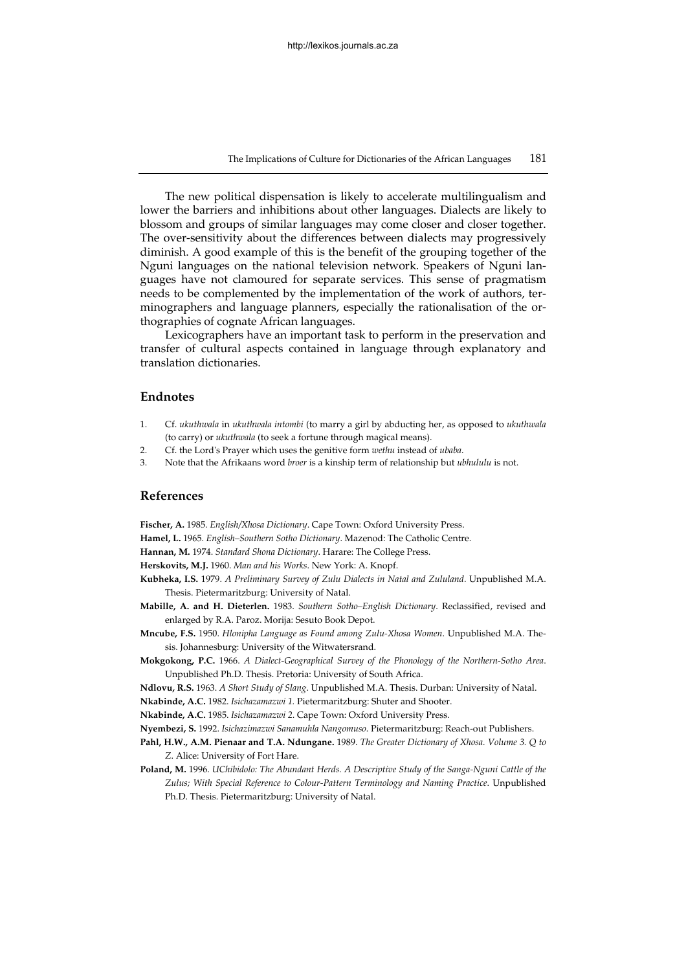The Implications of Culture for Dictionaries of the African Languages 181

The new political dispensation is likely to accelerate multilingualism and lower the barriers and inhibitions about other languages. Dialects are likely to blossom and groups of similar languages may come closer and closer together. The over-sensitivity about the differences between dialects may progressively diminish. A good example of this is the benefit of the grouping together of the Nguni languages on the national television network. Speakers of Nguni languages have not clamoured for separate services. This sense of pragmatism needs to be complemented by the implementation of the work of authors, terminographers and language planners, especially the rationalisation of the orthographies of cognate African languages.

Lexicographers have an important task to perform in the preservation and transfer of cultural aspects contained in language through explanatory and translation dictionaries.

## **Endnotes**

- 1. Cf. *ukuthwala* in *ukuthwala intombi* (to marry a girl by abducting her, as opposed to *ukuthwala* (to carry) or *ukuthwala* (to seek a fortune through magical means).
- 2. Cf. the Lord's Prayer which uses the genitive form *wethu* instead of *ubaba*.
- 3. Note that the Afrikaans word *broer* is a kinship term of relationship but *ubhululu* is not.

# **References**

**Fischer, A.** 1985. *English/Xhosa Dictionary*. Cape Town: Oxford University Press.

**Hamel, L.** 1965. *English–Southern Sotho Dictionary*. Mazenod: The Catholic Centre.

**Hannan, M.** 1974. *Standard Shona Dictionary*. Harare: The College Press.

**Herskovits, M.J.** 1960. *Man and his Works*. New York: A. Knopf.

- **Kubheka, I.S.** 1979. *A Preliminary Survey of Zulu Dialects in Natal and Zululand*. Unpublished M.A. Thesis. Pietermaritzburg: University of Natal.
- **Mabille, A. and H. Dieterlen.** 1983. *Southern Sotho–English Dictionary*. Reclassified, revised and enlarged by R.A. Paroz. Morija: Sesuto Book Depot.
- **Mncube, F.S.** 1950. *Hlonipha Language as Found among Zulu-Xhosa Women*. Unpublished M.A. Thesis. Johannesburg: University of the Witwatersrand.
- **Mokgokong, P.C.** 1966. *A Dialect-Geographical Survey of the Phonology of the Northern-Sotho Area*. Unpublished Ph.D. Thesis. Pretoria: University of South Africa.
- **Ndlovu, R.S.** 1963. *A Short Study of Slang*. Unpublished M.A. Thesis. Durban: University of Natal.
- **Nkabinde, A.C.** 1982. *Isichazamazwi 1.* Pietermaritzburg: Shuter and Shooter.

**Nkabinde, A.C.** 1985. *Isichazamazwi 2*. Cape Town: Oxford University Press.

- **Nyembezi, S.** 1992. *Isichazimazwi Sanamuhla Nangomuso*. Pietermaritzburg: Reach-out Publishers.
- **Pahl, H.W., A.M. Pienaar and T.A. Ndungane.** 1989. *The Greater Dictionary of Xhosa. Volume 3. Q to Z*. Alice: University of Fort Hare.
- **Poland, M.** 1996. *UChibidolo: The Abundant Herds. A Descriptive Study of the Sanga-Nguni Cattle of the Zulus; With Special Reference to Colour-Pattern Terminology and Naming Practice*. Unpublished Ph.D. Thesis. Pietermaritzburg: University of Natal.